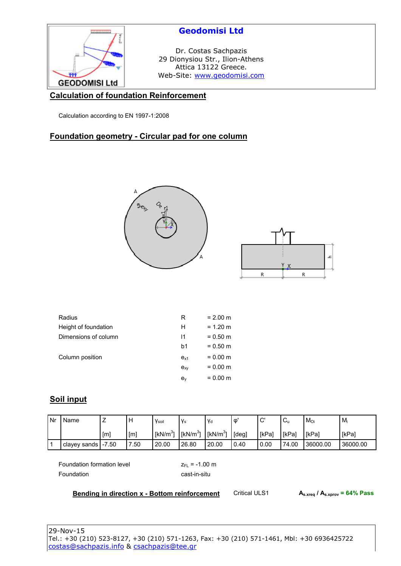

### **Calculation of foundation Reinforcement**

Calculation according to EN 1997-1:2008

### **Foundation geometry - Circular pad for one column**





| Radius               | R                         | $= 2.00$ m |
|----------------------|---------------------------|------------|
| Height of foundation | н                         | $= 1.20$ m |
| Dimensions of column | 11                        | $= 0.50$ m |
|                      | b1                        | $= 0.50$ m |
| Column position      | $e_{x1}$                  | $= 0.00$ m |
|                      | $e_{xy}$                  | $= 0.00$ m |
|                      | $\mathbf{e}_{\mathsf{v}}$ | $= 0.00$ m |

### **Soil input**

| l Nr | Name                 | _                | H    | Vsoil                | V <sub>s</sub> | <b>V</b> d  | Φ     | $\sim$<br>◡ | $\sim$<br>◡  | $M_{\rm O}$ | Mi       |
|------|----------------------|------------------|------|----------------------|----------------|-------------|-------|-------------|--------------|-------------|----------|
|      |                      | [ <sub>m</sub> ] | [m]  | [kN/m <sup>3</sup> ] | [ $kN/m3$ ]    | [ $kN/m3$ ] | [deg] | [kPa]       | <b>IkPal</b> | [kPa]       | [kPa]    |
|      | clayey sands [-7.50] |                  | 7.50 | 20.00                | 26.80          | 20.00       | 0.40  | 0.00        | 74.00        | 36000.00    | 36000.00 |

Foundation formation level  $Z_{FL} = -1.00$  m Foundation cast-in-situ

#### **Bending in direction x - Bottom reinforcement** Critical ULS1 **As.xreq / As.xprov = 64% Pass**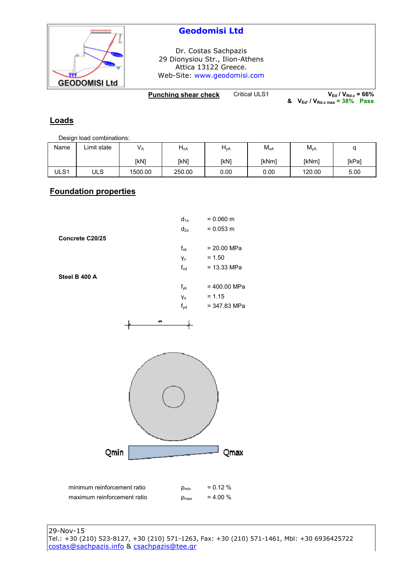

# **Geodomisi Ltd**

Dr. Costas Sachpazis 29 Dionysiou Str., Ilion-Athens Attica 13122 Greece. Web-Site: www.geodomisi.com

**Punching shear check** Critical ULS1 **VEd** / V<sub>**Rd.c**</sub> = 66%

**& VEd' / VRd.c max = 38% Pass**

## **Loads**

Design load combinations:

| Name | ∟imit state | V <sub>A</sub> | $H_{xA}$ | $H_{\mathsf{yA}}$ | $M_{xA}$ | $M_{\rm yA}$ | ∼     |
|------|-------------|----------------|----------|-------------------|----------|--------------|-------|
|      |             | [kN]           | [kN]     | [kN]              | [kNm]    | [kNm]        | [kPa] |
| ULS1 | ULS         | 1500.00        | 250.00   | 0.00              | 0.00     | 120.00       | 5.00  |

#### **Foundation properties**

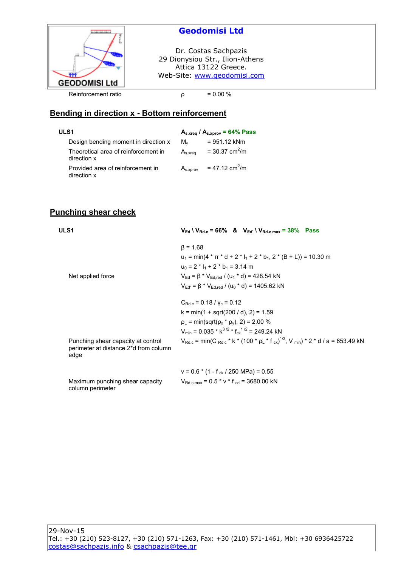

# **Geodomisi Ltd**

Dr. Costas Sachpazis 29 Dionysiou Str., Ilion-Athens Attica 13122 Greece. Web-Site: www.geodomisi.com

#### **Bending in direction x - Bottom reinforcement**

| ULS1                                                |               | $A_{s.xreq}$ / $A_{s.xprov}$ = 64% Pass |
|-----------------------------------------------------|---------------|-----------------------------------------|
| Design bending moment in direction x                | Mv            | $= 951.12$ kNm                          |
| Theoretical area of reinforcement in<br>direction x | $A_{s.xrea}$  | = 30.37 $\text{cm}^2/\text{m}$          |
| Provided area of reinforcement in<br>direction x    | $A_{s.xprov}$ | = 47.12 cm <sup>2</sup> /m              |

## **Punching shear check**

| ULS1                                                                                | $V_{\rm Ed} \setminus V_{\rm Rd.c} = 66\%$ & $V_{\rm Ed'} \setminus V_{\rm Rd.c \, max} = 38\%$ Pass                   |
|-------------------------------------------------------------------------------------|------------------------------------------------------------------------------------------------------------------------|
|                                                                                     | $\beta = 1.68$                                                                                                         |
|                                                                                     | $u_1 = min(4 \times \pi \times d + 2 \times 1$ <sub>1</sub> + 2 $*$ b <sub>1</sub> , 2 $*$ (B + L)) = 10.30 m          |
|                                                                                     | $u_0 = 2 * l_1 + 2 * b_1 = 3.14$ m                                                                                     |
| Net applied force                                                                   | $V_{\text{Ed}} = \beta * V_{\text{Ed.red}} / (u_1 * d) = 428.54$ kN                                                    |
|                                                                                     | $V_{\text{Ed'}} = \beta * V_{\text{Ed.red}} / (u_0 * d) = 1405.62 \text{ kN}$                                          |
|                                                                                     | $C_{\text{Rdc}} = 0.18 / v_c = 0.12$                                                                                   |
|                                                                                     | $k = min(1 + sqrt(200 / d), 2) = 1.59$                                                                                 |
|                                                                                     | $\rho_L$ = min(sqrt( $\rho_x$ * $\rho_y$ ), 2) = 2.00 %                                                                |
|                                                                                     | $V_{\text{min}}$ = 0.035 * $k^{3/2}$ * $f_{ck}^{1/2}$ = 249.24 kN                                                      |
| Punching shear capacity at control<br>perimeter at distance 2*d from column<br>edge | $V_{Rd,c}$ = min(C $_{Rd,c}$ * k * (100 * $\rho_L$ * f $_{ck}$ ) <sup>1/3</sup> , V $_{min}$ ) * 2 * d / a = 653.49 kN |
|                                                                                     | $v = 0.6$ * (1 - f <sub>ck</sub> / 250 MPa) = 0.55                                                                     |
| Maximum punching shear capacity<br>column perimeter                                 | $V_{\text{Rd.c max}}$ = 0.5 * v * f cd = 3680.00 kN                                                                    |